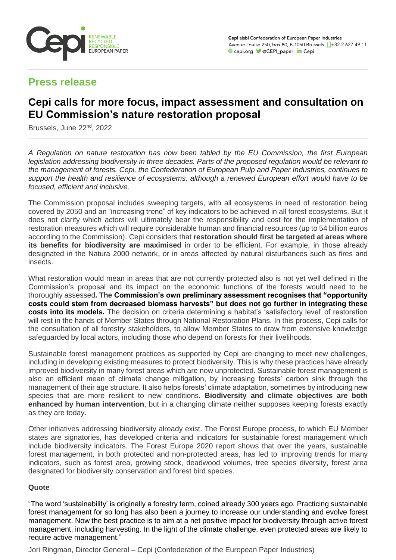

## **Press release**

# **Cepi calls for more focus, impact assessment and consultation on EU Commission's nature restoration proposal**

Brussels, June 22<sup>nd</sup>, 2022

*A Regulation on nature restoration has now been tabled by the EU Commission, the first European legislation addressing biodiversity in three decades. Parts of the proposed regulation would be relevant to the management of forests. Cepi, the Confederation of European Pulp and Paper Industries, continues to support the health and resilience of ecosystems, although a renewed European effort would have to be focused, efficient and inclusive.*

The Commission proposal includes sweeping targets, with all ecosystems in need of restoration being covered by 2050 and an "increasing trend" of key indicators to be achieved in all forest ecosystems. But it does not clarify which actors will ultimately bear the responsibility and cost for the implementation of restoration measures which will require considerable human and financial resources (up to 54 billion euros according to the Commission). Cepi considers that **restoration should first be targeted at areas where its benefits for biodiversity are maximised** in order to be efficient. For example, in those already designated in the Natura 2000 network, or in areas affected by natural disturbances such as fires and insects.

What restoration would mean in areas that are not currently protected also is not yet well defined in the Commission's proposal and its impact on the economic functions of the forests would need to be thoroughly assessed**. The Commission's own preliminary assessment recognises that "opportunity costs could stem from decreased biomass harvests" but does not go further in integrating these costs into its models.** The decision on criteria determining a habitat's 'satisfactory level' of restoration will rest in the hands of Member States through National Restoration Plans. In this process, Cepi calls for the consultation of all forestry stakeholders, to allow Member States to draw from extensive knowledge safeguarded by local actors, including those who depend on forests for their livelihoods.

Sustainable forest management practices as supported by Cepi are changing to meet new challenges, including in developing existing measures to protect biodiversity. This is why these practices have already improved biodiversity in many forest areas which are now unprotected. Sustainable forest management is also an efficient mean of climate change mitigation, by increasing forests' carbon sink through the management of their age structure. It also helps forests' climate adaptation, sometimes by introducing new species that are more resilient to new conditions. **Biodiversity and climate objectives are both enhanced by human intervention**, but in a changing climate neither supposes keeping forests exactly as they are today.

Other initiatives addressing biodiversity already exist. The Forest Europe process, to which EU Member states are signatories, has developed criteria and indicators for sustainable forest management which include biodiversity indicators. The Forest Europe 2020 report shows that over the years, sustainable forest management, in both protected and non-protected areas, has led to improving trends for many indicators, such as forest area, growing stock, deadwood volumes, tree species diversity, forest area designated for biodiversity conservation and forest bird species.

## **Quote**

"The word 'sustainability' is originally a forestry term, coined already 300 years ago. Practicing sustainable forest management for so long has also been a journey to increase our understanding and evolve forest management. Now the best practice is to aim at a net positive impact for biodiversity through active forest management, including harvesting. In the light of the climate challenge, even protected areas are likely to require active management."

Jori Ringman, Director General – Cepi (Confederation of the European Paper Industries)